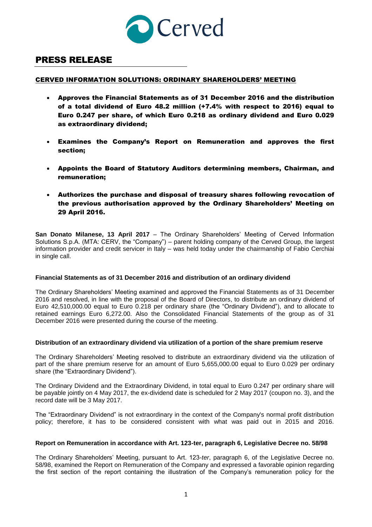

# PRESS RELEASE

## CERVED INFORMATION SOLUTIONS: ORDINARY SHAREHOLDERS' MEETING

- Approves the Financial Statements as of 31 December 2016 and the distribution of a total dividend of Euro 48.2 million (+7.4% with respect to 2016) equal to Euro 0.247 per share, of which Euro 0.218 as ordinary dividend and Euro 0.029 as extraordinary dividend;
- Examines the Company's Report on Remuneration and approves the first section;
- Appoints the Board of Statutory Auditors determining members, Chairman, and remuneration;
- Authorizes the purchase and disposal of treasury shares following revocation of the previous authorisation approved by the Ordinary Shareholders' Meeting on 29 April 2016.

**San Donato Milanese, 13 April 2017** – The Ordinary Shareholders' Meeting of Cerved Information Solutions S.p.A. (MTA: CERV, the "Company") – parent holding company of the Cerved Group, the largest information provider and credit servicer in Italy – was held today under the chairmanship of Fabio Cerchiai in single call.

#### **Financial Statements as of 31 December 2016 and distribution of an ordinary dividend**

The Ordinary Shareholders' Meeting examined and approved the Financial Statements as of 31 December 2016 and resolved, in line with the proposal of the Board of Directors, to distribute an ordinary dividend of Euro 42,510,000.00 equal to Euro 0.218 per ordinary share (the "Ordinary Dividend"), and to allocate to retained earnings Euro 6,272.00. Also the Consolidated Financial Statements of the group as of 31 December 2016 were presented during the course of the meeting.

#### **Distribution of an extraordinary dividend via utilization of a portion of the share premium reserve**

The Ordinary Shareholders' Meeting resolved to distribute an extraordinary dividend via the utilization of part of the share premium reserve for an amount of Euro 5,655,000.00 equal to Euro 0.029 per ordinary share (the "Extraordinary Dividend").

The Ordinary Dividend and the Extraordinary Dividend, in total equal to Euro 0.247 per ordinary share will be payable jointly on 4 May 2017, the ex-dividend date is scheduled for 2 May 2017 (coupon no. 3), and the record date will be 3 May 2017.

The "Extraordinary Dividend" is not extraordinary in the context of the Company's normal profit distribution policy; therefore, it has to be considered consistent with what was paid out in 2015 and 2016.

#### **Report on Remuneration in accordance with Art. 123-ter, paragraph 6, Legislative Decree no. 58/98**

The Ordinary Shareholders' Meeting, pursuant to Art. 123-*ter*, paragraph 6, of the Legislative Decree no. 58/98, examined the Report on Remuneration of the Company and expressed a favorable opinion regarding the first section of the report containing the illustration of the Company's remuneration policy for the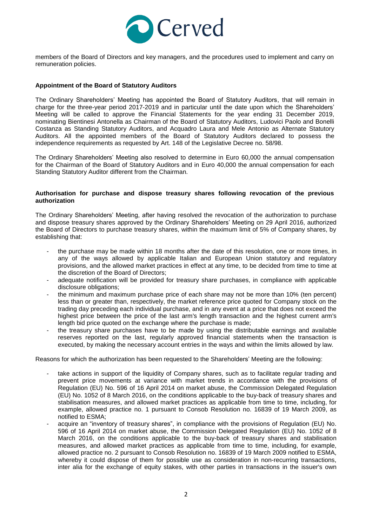

members of the Board of Directors and key managers, and the procedures used to implement and carry on remuneration policies.

### **Appointment of the Board of Statutory Auditors**

The Ordinary Shareholders' Meeting has appointed the Board of Statutory Auditors, that will remain in charge for the three-year period 2017-2019 and in particular until the date upon which the Shareholders' Meeting will be called to approve the Financial Statements for the year ending 31 December 2019, nominating Bientinesi Antonella as Chairman of the Board of Statutory Auditors, Ludovici Paolo and Bonelli Costanza as Standing Statutory Auditors, and Acquadro Laura and Mele Antonio as Alternate Statutory Auditors. All the appointed members of the Board of Statutory Auditors declared to possess the independence requirements as requested by Art. 148 of the Legislative Decree no. 58/98.

The Ordinary Shareholders' Meeting also resolved to determine in Euro 60,000 the annual compensation for the Chairman of the Board of Statutory Auditors and in Euro 40,000 the annual compensation for each Standing Statutory Auditor different from the Chairman.

#### **Authorisation for purchase and dispose treasury shares following revocation of the previous authorization**

The Ordinary Shareholders' Meeting, after having resolved the revocation of the authorization to purchase and dispose treasury shares approved by the Ordinary Shareholders' Meeting on 29 April 2016, authorized the Board of Directors to purchase treasury shares, within the maximum limit of 5% of Company shares, by establishing that:

- the purchase may be made within 18 months after the date of this resolution, one or more times, in any of the ways allowed by applicable Italian and European Union statutory and regulatory provisions, and the allowed market practices in effect at any time, to be decided from time to time at the discretion of the Board of Directors;
- adequate notification will be provided for treasury share purchases, in compliance with applicable disclosure obligations;
- the minimum and maximum purchase price of each share may not be more than 10% (ten percent) less than or greater than, respectively, the market reference price quoted for Company stock on the trading day preceding each individual purchase, and in any event at a price that does not exceed the highest price between the price of the last arm's length transaction and the highest current arm's length bid price quoted on the exchange where the purchase is made;
- the treasury share purchases have to be made by using the distributable earnings and available reserves reported on the last, regularly approved financial statements when the transaction is executed, by making the necessary account entries in the ways and within the limits allowed by law.

Reasons for which the authorization has been requested to the Shareholders' Meeting are the following:

- take actions in support of the liquidity of Company shares, such as to facilitate regular trading and prevent price movements at variance with market trends in accordance with the provisions of Regulation (EU) No. 596 of 16 April 2014 on market abuse, the Commission Delegated Regulation (EU) No. 1052 of 8 March 2016, on the conditions applicable to the buy-back of treasury shares and stabilisation measures, and allowed market practices as applicable from time to time, including, for example, allowed practice no. 1 pursuant to Consob Resolution no. 16839 of 19 March 2009, as notified to ESMA;
- acquire an "inventory of treasury shares", in compliance with the provisions of Regulation (EU) No. 596 of 16 April 2014 on market abuse, the Commission Delegated Regulation (EU) No. 1052 of 8 March 2016, on the conditions applicable to the buy-back of treasury shares and stabilisation measures, and allowed market practices as applicable from time to time, including, for example, allowed practice no. 2 pursuant to Consob Resolution no. 16839 of 19 March 2009 notified to ESMA, whereby it could dispose of them for possible use as consideration in non-recurring transactions, inter alia for the exchange of equity stakes, with other parties in transactions in the issuer's own